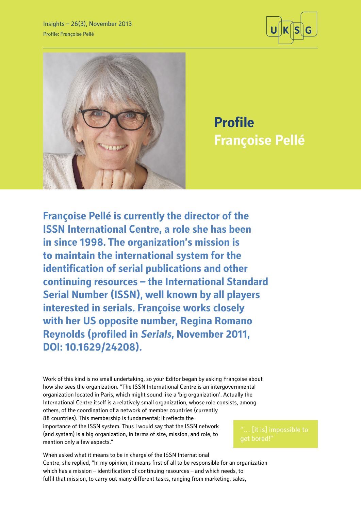



**Profile Françoise Pellé**

**Françoise Pellé is currently the director of the ISSN International Centre, a role she has been in since 1998. The organization's mission is to maintain the international system for the identification of serial publications and other continuing resources – the International Standard Serial Number (ISSN), well known by all players interested in serials. Françoise works closely with her US opposite number, Regina Romano Reynolds (profiled in Serials, November 2011, DOI: 10.1629/24208).** 

Work of this kind is no small undertaking, so your Editor began by asking Françoise about how she sees the organization. "The ISSN International Centre is an intergovernmental organization located in Paris, which might sound like a 'big organization'. Actually the International Centre itself is a relatively small organization, whose role consists, among others, of the coordination of a network of member countries (currently 88 countries). This membership is fundamental; it reflects the importance of the ISSN system. Thus I would say that the ISSN network (and system) is a big organization, in terms of size, mission, and role, to mention only a few aspects."

When asked what it means to be in charge of the ISSN International Centre, she replied, "In my opinion, it means first of all to be responsible for an organization which has a mission – identification of continuing resources – and which needs, to fulfil that mission, to carry out many different tasks, ranging from marketing, sales,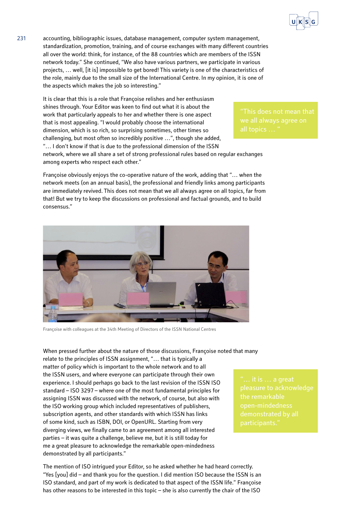

231 accounting, bibliographic issues, database management, computer system management, standardization, promotion, training, and of course exchanges with many different countries all over the world: think, for instance, of the 88 countries which are members of the ISSN network today." She continued, "We also have various partners, we participate in various projects, … well, [it is] impossible to get bored! This variety is one of the characteristics of the role, mainly due to the small size of the International Centre. In my opinion, it is one of the aspects which makes the job so interesting."

> It is clear that this is a role that Françoise relishes and her enthusiasm shines through. Your Editor was keen to find out what it is about the work that particularly appeals to her and whether there is one aspect that is most appealing. "I would probably choose the international dimension, which is so rich, so surprising sometimes, other times so challenging, but most often so incredibly positive …", though she added, "… I don't know if that is due to the professional dimension of the ISSN

network, where we all share a set of strong professional rules based on regular exchanges among experts who respect each other."

Françoise obviously enjoys the co-operative nature of the work, adding that "… when the network meets (on an annual basis), the professional and friendly links among participants are immediately revived. This does not mean that we all always agree on all topics, far from that! But we try to keep the discussions on professional and factual grounds, and to build consensus."



Françoise with colleagues at the 34th Meeting of Directors of the ISSN National Centres

When pressed further about the nature of those discussions, Françoise noted that many relate to the principles of ISSN assignment, "… that is typically a matter of policy which is important to the whole network and to all the ISSN users, and where everyone can participate through their own experience. I should perhaps go back to the last revision of the ISSN ISO standard – ISO 3297 – where one of the most fundamental principles for assigning ISSN was discussed with the network, of course, but also with the ISO working group which included representatives of publishers, subscription agents, and other standards with which ISSN has links of some kind, such as ISBN, DOI, or OpenURL. Starting from very diverging views, we finally came to an agreement among all interested parties – it was quite a challenge, believe me, but it is still today for me a great pleasure to acknowledge the remarkable open-mindedness demonstrated by all participants."

The mention of ISO intrigued your Editor, so he asked whether he had heard correctly. "Yes [you] did – and thank you for the question. I did mention ISO because the ISSN is an ISO standard, and part of my work is dedicated to that aspect of the ISSN life." Françoise has other reasons to be interested in this topic – she is also currently the chair of the ISO

participants."